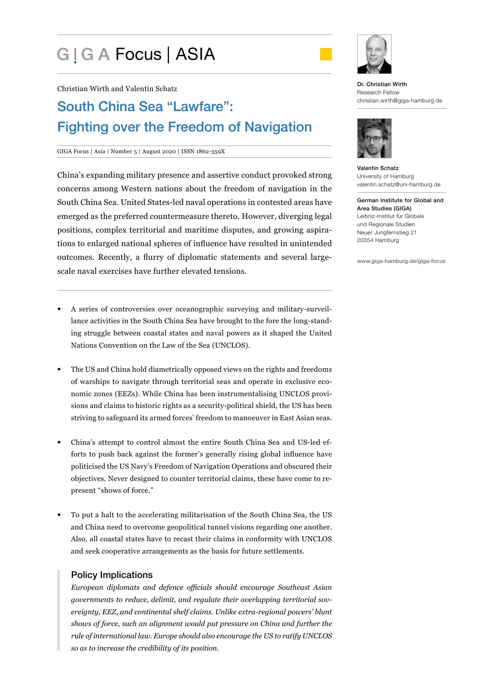# G | G A Focus | ASIA



# South China Sea "Lawfare": Fighting over the Freedom of Navigation

#### GIGA Focus | Asia | Number 5 | August 2020 | ISSN 1862-359X

China's expanding military presence and assertive conduct provoked strong concerns among Western nations about the freedom of navigation in the South China Sea. United States-led naval operations in contested areas have emerged as the preferred countermeasure thereto. However, diverging legal positions, complex territorial and maritime disputes, and growing aspirations to enlarged national spheres of influence have resulted in unintended outcomes. Recently, a flurry of diplomatic statements and several largescale naval exercises have further elevated tensions.

- A series of controversies over oceanographic surveying and military-surveillance activities in the South China Sea have brought to the fore the long-standing struggle between coastal states and naval powers as it shaped the United Nations Convention on the Law of the Sea (UNCLOS).
- The US and China hold diametrically opposed views on the rights and freedoms of warships to navigate through territorial seas and operate in exclusive economic zones (EEZs). While China has been instrumentalising UNCLOS provisions and claims to historic rights as a security-political shield, the US has been striving to safeguard its armed forces' freedom to manoeuver in East Asian seas.
- China's attempt to control almost the entire South China Sea and US-led efforts to push back against the former's generally rising global influence have politicised the US Navy's Freedom of Navigation Operations and obscured their objectives. Never designed to counter territorial claims, these have come to represent "shows of force."
- To put a halt to the accelerating militarisation of the South China Sea, the US and China need to overcome geopolitical tunnel visions regarding one another. Also, all coastal states have to recast their claims in conformity with UNCLOS and seek cooperative arrangements as the basis for future settlements.

## Policy Implications

*European diplomats and defence officials should encourage Southeast Asian governments to reduce, delimit, and regulate their overlapping territorial sovereignty, EEZ, and continental shelf claims. Unlike extra-regional powers' blunt shows of force, such an alignment would put pressure on China and further the rule of international law. Europe should also encourage the US to ratify UNCLOS so as to increase the credibility of its position.* 



#### Dr. Christian Wirth Research Fellow christian.wirth@giga-hamburg.de



Valentin Schatz University of Hamburg valentin.schatz@uni-hamburg.de

German Institute for Global and Area Studies (GIGA) Leibniz-Institut für Globale und Regionale Studien Neuer Jungfernstieg 21 20354 Hamburg

www.giga-hamburg.de/giga-focus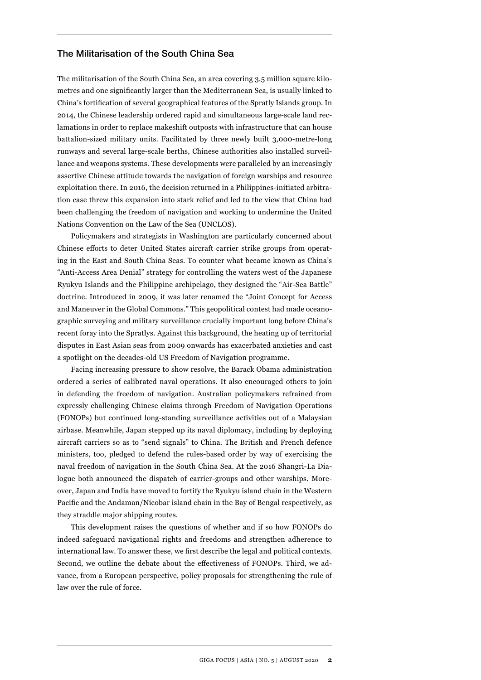#### The Militarisation of the South China Sea

The militarisation of the South China Sea, an area covering 3.5 million square kilometres and one significantly larger than the Mediterranean Sea, is usually linked to China's fortification of several geographical features of the Spratly Islands group. In 2014, the Chinese leadership ordered rapid and simultaneous large-scale land reclamations in order to replace makeshift outposts with infrastructure that can house battalion-sized military units. Facilitated by three newly built 3,000-metre-long runways and several large-scale berths, Chinese authorities also installed surveillance and weapons systems. These developments were paralleled by an increasingly assertive Chinese attitude towards the navigation of foreign warships and resource exploitation there. In 2016, the decision returned in a Philippines-initiated arbitration case threw this expansion into stark relief and led to the view that China had been challenging the freedom of navigation and working to undermine the United Nations Convention on the Law of the Sea (UNCLOS).

Policymakers and strategists in Washington are particularly concerned about Chinese efforts to deter United States aircraft carrier strike groups from operating in the East and South China Seas. To counter what became known as China's "Anti-Access Area Denial" strategy for controlling the waters west of the Japanese Ryukyu Islands and the Philippine archipelago, they designed the "Air-Sea Battle" doctrine. Introduced in 2009, it was later renamed the "Joint Concept for Access and Maneuver in the Global Commons." This geopolitical contest had made oceanographic surveying and military surveillance crucially important long before China's recent foray into the Spratlys. Against this background, the heating up of territorial disputes in East Asian seas from 2009 onwards has exacerbated anxieties and cast a spotlight on the decades-old US Freedom of Navigation programme.

Facing increasing pressure to show resolve, the Barack Obama administration ordered a series of calibrated naval operations. It also encouraged others to join in defending the freedom of navigation. Australian policymakers refrained from expressly challenging Chinese claims through Freedom of Navigation Operations (FONOPs) but continued long-standing surveillance activities out of a Malaysian airbase. Meanwhile, Japan stepped up its naval diplomacy, including by deploying aircraft carriers so as to "send signals" to China. The British and French defence ministers, too, pledged to defend the rules-based order by way of exercising the naval freedom of navigation in the South China Sea. At the 2016 Shangri-La Dialogue both announced the dispatch of carrier-groups and other warships. Moreover, Japan and India have moved to fortify the Ryukyu island chain in the Western Pacific and the Andaman/Nicobar island chain in the Bay of Bengal respectively, as they straddle major shipping routes.

This development raises the questions of whether and if so how FONOPs do indeed safeguard navigational rights and freedoms and strengthen adherence to international law. To answer these, we first describe the legal and political contexts. Second, we outline the debate about the effectiveness of FONOPs. Third, we advance, from a European perspective, policy proposals for strengthening the rule of law over the rule of force.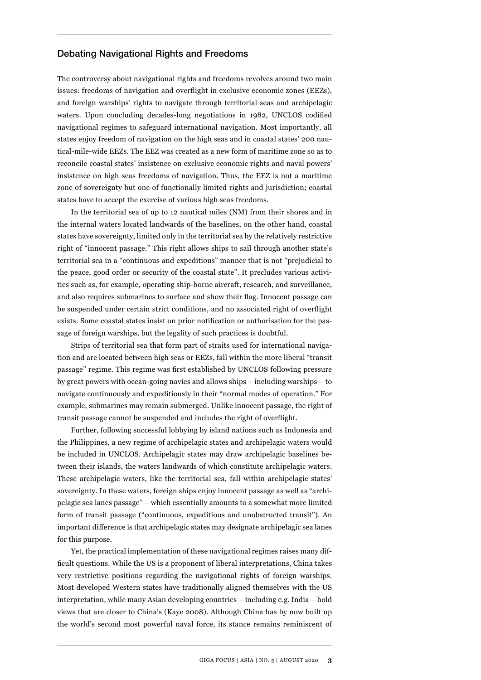#### Debating Navigational Rights and Freedoms

The controversy about navigational rights and freedoms revolves around two main issues: freedoms of navigation and overflight in exclusive economic zones (EEZs), and foreign warships' rights to navigate through territorial seas and archipelagic waters. Upon concluding decades-long negotiations in 1982, UNCLOS codified navigational regimes to safeguard international navigation. Most importantly, all states enjoy freedom of navigation on the high seas and in coastal states' 200 nautical-mile-wide EEZs. The EEZ was created as a new form of maritime zone so as to reconcile coastal states' insistence on exclusive economic rights and naval powers' insistence on high seas freedoms of navigation. Thus, the EEZ is not a maritime zone of sovereignty but one of functionally limited rights and jurisdiction; coastal states have to accept the exercise of various high seas freedoms.

In the territorial sea of up to 12 nautical miles (NM) from their shores and in the internal waters located landwards of the baselines, on the other hand, coastal states have sovereignty, limited only in the territorial sea by the relatively restrictive right of "innocent passage." This right allows ships to sail through another state's territorial sea in a "continuous and expeditious" manner that is not "prejudicial to the peace, good order or security of the coastal state". It precludes various activities such as, for example, operating ship-borne aircraft, research, and surveillance, and also requires submarines to surface and show their flag. Innocent passage can be suspended under certain strict conditions, and no associated right of overflight exists. Some coastal states insist on prior notification or authorisation for the passage of foreign warships, but the legality of such practices is doubtful.

Strips of territorial sea that form part of straits used for international navigation and are located between high seas or EEZs, fall within the more liberal "transit passage" regime. This regime was first established by UNCLOS following pressure by great powers with ocean-going navies and allows ships – including warships – to navigate continuously and expeditiously in their "normal modes of operation." For example, submarines may remain submerged. Unlike innocent passage, the right of transit passage cannot be suspended and includes the right of overflight.

Further, following successful lobbying by island nations such as Indonesia and the Philippines, a new regime of archipelagic states and archipelagic waters would be included in UNCLOS. Archipelagic states may draw archipelagic baselines between their islands, the waters landwards of which constitute archipelagic waters. These archipelagic waters, like the territorial sea, fall within archipelagic states' sovereignty. In these waters, foreign ships enjoy innocent passage as well as "archipelagic sea lanes passage" – which essentially amounts to a somewhat more limited form of transit passage ("continuous, expeditious and unobstructed transit"). An important difference is that archipelagic states may designate archipelagic sea lanes for this purpose.

Yet, the practical implementation of these navigational regimes raises many difficult questions. While the US is a proponent of liberal interpretations, China takes very restrictive positions regarding the navigational rights of foreign warships. Most developed Western states have traditionally aligned themselves with the US interpretation, while many Asian developing countries – including e.g. India – hold views that are closer to China's (Kaye 2008). Although China has by now built up the world's second most powerful naval force, its stance remains reminiscent of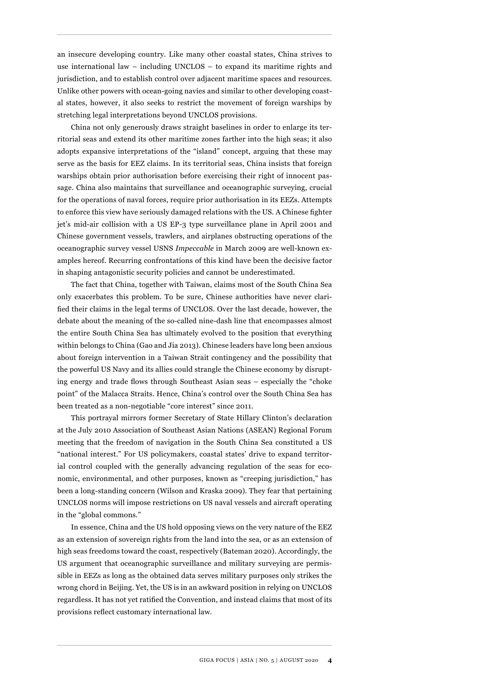an insecure developing country. Like many other coastal states, China strives to use international law – including UNCLOS – to expand its maritime rights and jurisdiction, and to establish control over adjacent maritime spaces and resources. Unlike other powers with ocean-going navies and similar to other developing coastal states, however, it also seeks to restrict the movement of foreign warships by stretching legal interpretations beyond UNCLOS provisions.

China not only generously draws straight baselines in order to enlarge its territorial seas and extend its other maritime zones farther into the high seas; it also adopts expansive interpretations of the "island" concept, arguing that these may serve as the basis for EEZ claims. In its territorial seas, China insists that foreign warships obtain prior authorisation before exercising their right of innocent passage. China also maintains that surveillance and oceanographic surveying, crucial for the operations of naval forces, require prior authorisation in its EEZs. Attempts to enforce this view have seriously damaged relations with the US. A Chinese fighter jet's mid-air collision with a US EP-3 type surveillance plane in April 2001 and Chinese government vessels, trawlers, and airplanes obstructing operations of the oceanographic survey vessel USNS *Impeccable* in March 2009 are well-known examples hereof. Recurring confrontations of this kind have been the decisive factor in shaping antagonistic security policies and cannot be underestimated.

The fact that China, together with Taiwan, claims most of the South China Sea only exacerbates this problem. To be sure, Chinese authorities have never clarified their claims in the legal terms of UNCLOS. Over the last decade, however, the debate about the meaning of the so-called nine-dash line that encompasses almost the entire South China Sea has ultimately evolved to the position that everything within belongs to China (Gao and Jia 2013). Chinese leaders have long been anxious about foreign intervention in a Taiwan Strait contingency and the possibility that the powerful US Navy and its allies could strangle the Chinese economy by disrupting energy and trade flows through Southeast Asian seas – especially the "choke point" of the Malacca Straits. Hence, China's control over the South China Sea has been treated as a non-negotiable "core interest" since 2011.

This portrayal mirrors former Secretary of State Hillary Clinton's declaration at the July 2010 Association of Southeast Asian Nations (ASEAN) Regional Forum meeting that the freedom of navigation in the South China Sea constituted a US "national interest." For US policymakers, coastal states' drive to expand territorial control coupled with the generally advancing regulation of the seas for economic, environmental, and other purposes, known as "creeping jurisdiction," has been a long-standing concern (Wilson and Kraska 2009). They fear that pertaining UNCLOS norms will impose restrictions on US naval vessels and aircraft operating in the "global commons."

In essence, China and the US hold opposing views on the very nature of the EEZ as an extension of sovereign rights from the land into the sea, or as an extension of high seas freedoms toward the coast, respectively (Bateman 2020). Accordingly, the US argument that oceanographic surveillance and military surveying are permissible in EEZs as long as the obtained data serves military purposes only strikes the wrong chord in Beijing. Yet, the US is in an awkward position in relying on UNCLOS regardless. It has not yet ratified the Convention, and instead claims that most of its provisions reflect customary international law.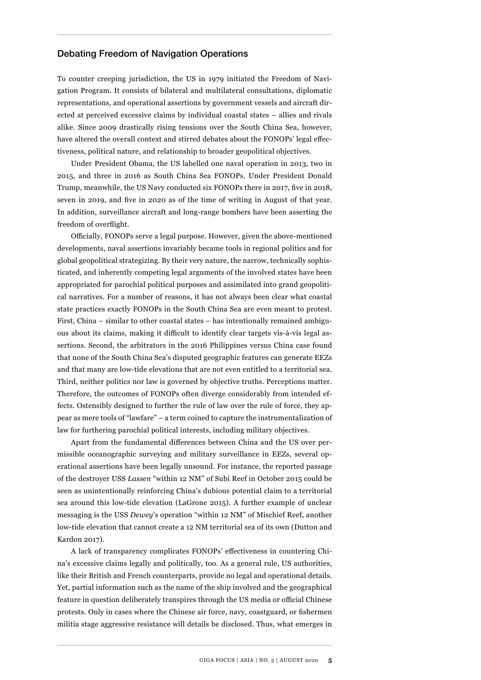#### Debating Freedom of Navigation Operations

To counter creeping jurisdiction, the US in 1979 initiated the Freedom of Navigation Program. It consists of bilateral and multilateral consultations, diplomatic representations, and operational assertions by government vessels and aircraft directed at perceived excessive claims by individual coastal states – allies and rivals alike. Since 2009 drastically rising tensions over the South China Sea, however, have altered the overall context and stirred debates about the FONOPs' legal effectiveness, political nature, and relationship to broader geopolitical objectives.

Under President Obama, the US labelled one naval operation in 2013, two in 2015, and three in 2016 as South China Sea FONOPs. Under President Donald Trump, meanwhile, the US Navy conducted six FONOPs there in 2017, five in 2018, seven in 2019, and five in 2020 as of the time of writing in August of that year. In addition, surveillance aircraft and long-range bombers have been asserting the freedom of overflight.

Officially, FONOPs serve a legal purpose. However, given the above-mentioned developments, naval assertions invariably became tools in regional politics and for global geopolitical strategizing. By their very nature, the narrow, technically sophisticated, and inherently competing legal arguments of the involved states have been appropriated for parochial political purposes and assimilated into grand geopolitical narratives. For a number of reasons, it has not always been clear what coastal state practices exactly FONOPs in the South China Sea are even meant to protest. First, China – similar to other coastal states – has intentionally remained ambiguous about its claims, making it difficult to identify clear targets vis-à-vis legal assertions. Second, the arbitrators in the 2016 Philippines versus China case found that none of the South China Sea's disputed geographic features can generate EEZs and that many are low-tide elevations that are not even entitled to a territorial sea. Third, neither politics nor law is governed by objective truths. Perceptions matter. Therefore, the outcomes of FONOPs often diverge considerably from intended effects. Ostensibly designed to further the rule of law over the rule of force, they appear as mere tools of "lawfare" – a term coined to capture the instrumentalization of law for furthering parochial political interests, including military objectives.

Apart from the fundamental differences between China and the US over permissible oceanographic surveying and military surveillance in EEZs, several operational assertions have been legally unsound. For instance, the reported passage of the destroyer USS *Lassen* "within 12 NM" of Subi Reef in October 2015 could be seen as unintentionally reinforcing China's dubious potential claim to a territorial sea around this low-tide elevation (LaGrone 2015). A further example of unclear messaging is the USS *Dewey*'s operation "within 12 NM" of Mischief Reef, another low-tide elevation that cannot create a 12 NM territorial sea of its own (Dutton and Kardon 2017).

A lack of transparency complicates FONOPs' effectiveness in countering China's excessive claims legally and politically, too. As a general rule, US authorities, like their British and French counterparts, provide no legal and operational details. Yet, partial information such as the name of the ship involved and the geographical feature in question deliberately transpires through the US media or official Chinese protests. Only in cases where the Chinese air force, navy, coastguard, or fishermen militia stage aggressive resistance will details be disclosed. Thus, what emerges in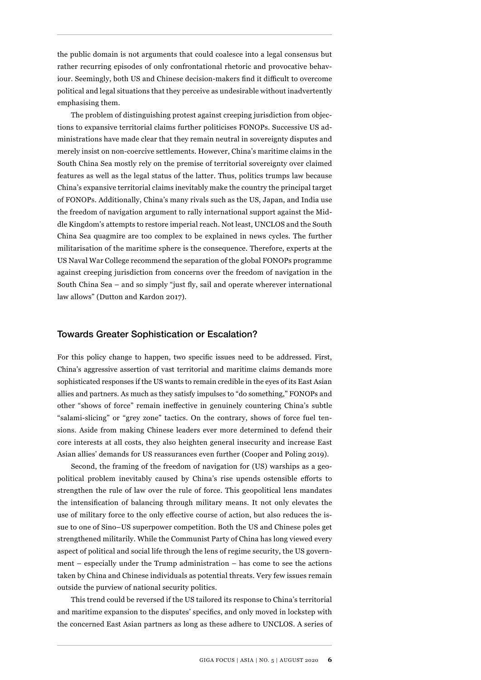the public domain is not arguments that could coalesce into a legal consensus but rather recurring episodes of only confrontational rhetoric and provocative behaviour. Seemingly, both US and Chinese decision-makers find it difficult to overcome political and legal situations that they perceive as undesirable without inadvertently emphasising them.

The problem of distinguishing protest against creeping jurisdiction from objections to expansive territorial claims further politicises FONOPs. Successive US administrations have made clear that they remain neutral in sovereignty disputes and merely insist on non-coercive settlements. However, China's maritime claims in the South China Sea mostly rely on the premise of territorial sovereignty over claimed features as well as the legal status of the latter. Thus, politics trumps law because China's expansive territorial claims inevitably make the country the principal target of FONOPs. Additionally, China's many rivals such as the US, Japan, and India use the freedom of navigation argument to rally international support against the Middle Kingdom's attempts to restore imperial reach. Not least, UNCLOS and the South China Sea quagmire are too complex to be explained in news cycles. The further militarisation of the maritime sphere is the consequence. Therefore, experts at the US Naval War College recommend the separation of the global FONOPs programme against creeping jurisdiction from concerns over the freedom of navigation in the South China Sea – and so simply "just fly, sail and operate wherever international law allows" (Dutton and Kardon 2017).

#### Towards Greater Sophistication or Escalation?

For this policy change to happen, two specific issues need to be addressed. First, China's aggressive assertion of vast territorial and maritime claims demands more sophisticated responses if the US wants to remain credible in the eyes of its East Asian allies and partners. As much as they satisfy impulses to "do something," FONOPs and other "shows of force" remain ineffective in genuinely countering China's subtle "salami-slicing" or "grey zone" tactics. On the contrary, shows of force fuel tensions. Aside from making Chinese leaders ever more determined to defend their core interests at all costs, they also heighten general insecurity and increase East Asian allies' demands for US reassurances even further (Cooper and Poling 2019).

Second, the framing of the freedom of navigation for (US) warships as a geopolitical problem inevitably caused by China's rise upends ostensible efforts to strengthen the rule of law over the rule of force. This geopolitical lens mandates the intensification of balancing through military means. It not only elevates the use of military force to the only effective course of action, but also reduces the issue to one of Sino–US superpower competition. Both the US and Chinese poles get strengthened militarily. While the Communist Party of China has long viewed every aspect of political and social life through the lens of regime security, the US government – especially under the Trump administration – has come to see the actions taken by China and Chinese individuals as potential threats. Very few issues remain outside the purview of national security politics.

This trend could be reversed if the US tailored its response to China's territorial and maritime expansion to the disputes' specifics, and only moved in lockstep with the concerned East Asian partners as long as these adhere to UNCLOS. A series of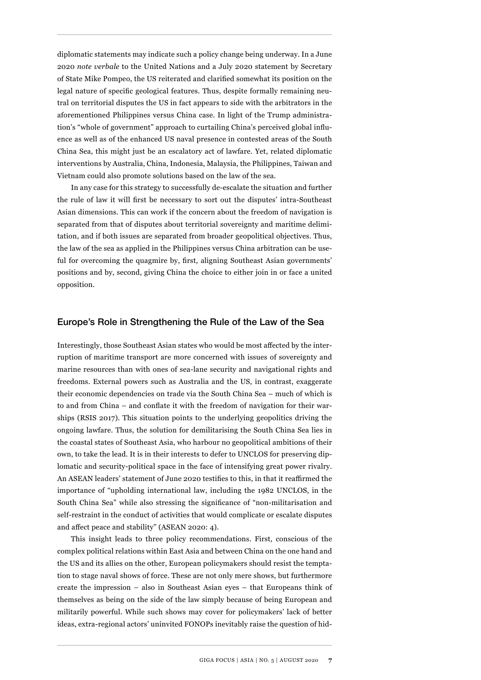diplomatic statements may indicate such a policy change being underway. In a June 2020 *note verbale* to the United Nations and a July 2020 statement by Secretary of State Mike Pompeo, the US reiterated and clarified somewhat its position on the legal nature of specific geological features. Thus, despite formally remaining neutral on territorial disputes the US in fact appears to side with the arbitrators in the aforementioned Philippines versus China case. In light of the Trump administration's "whole of government" approach to curtailing China's perceived global influence as well as of the enhanced US naval presence in contested areas of the South China Sea, this might just be an escalatory act of lawfare. Yet, related diplomatic interventions by Australia, China, Indonesia, Malaysia, the Philippines, Taiwan and Vietnam could also promote solutions based on the law of the sea.

In any case for this strategy to successfully de-escalate the situation and further the rule of law it will first be necessary to sort out the disputes' intra-Southeast Asian dimensions. This can work if the concern about the freedom of navigation is separated from that of disputes about territorial sovereignty and maritime delimitation, and if both issues are separated from broader geopolitical objectives. Thus, the law of the sea as applied in the Philippines versus China arbitration can be useful for overcoming the quagmire by, first, aligning Southeast Asian governments' positions and by, second, giving China the choice to either join in or face a united opposition.

#### Europe's Role in Strengthening the Rule of the Law of the Sea

Interestingly, those Southeast Asian states who would be most affected by the interruption of maritime transport are more concerned with issues of sovereignty and marine resources than with ones of sea-lane security and navigational rights and freedoms. External powers such as Australia and the US, in contrast, exaggerate their economic dependencies on trade via the South China Sea – much of which is to and from China – and conflate it with the freedom of navigation for their warships (RSIS 2017). This situation points to the underlying geopolitics driving the ongoing lawfare. Thus, the solution for demilitarising the South China Sea lies in the coastal states of Southeast Asia, who harbour no geopolitical ambitions of their own, to take the lead. It is in their interests to defer to UNCLOS for preserving diplomatic and security-political space in the face of intensifying great power rivalry. An ASEAN leaders' statement of June 2020 testifies to this, in that it reaffirmed the importance of "upholding international law, including the 1982 UNCLOS, in the South China Sea" while also stressing the significance of "non-militarisation and self-restraint in the conduct of activities that would complicate or escalate disputes and affect peace and stability" (ASEAN 2020: 4).

This insight leads to three policy recommendations. First, conscious of the complex political relations within East Asia and between China on the one hand and the US and its allies on the other, European policymakers should resist the temptation to stage naval shows of force. These are not only mere shows, but furthermore create the impression – also in Southeast Asian eyes – that Europeans think of themselves as being on the side of the law simply because of being European and militarily powerful. While such shows may cover for policymakers' lack of better ideas, extra-regional actors' uninvited FONOPs inevitably raise the question of hid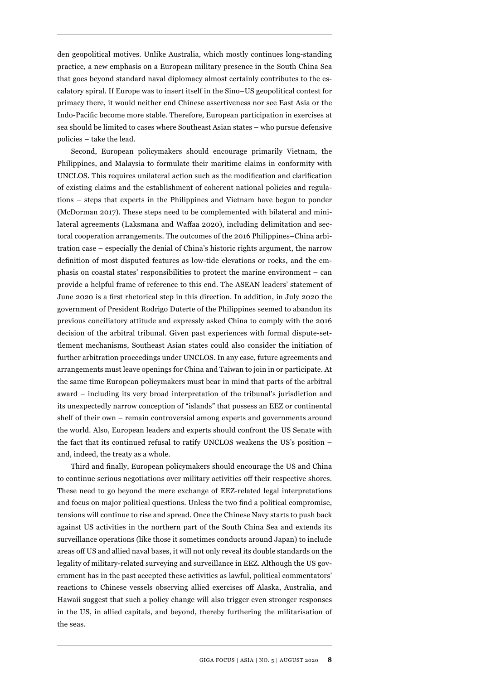den geopolitical motives. Unlike Australia, which mostly continues long-standing practice, a new emphasis on a European military presence in the South China Sea that goes beyond standard naval diplomacy almost certainly contributes to the escalatory spiral. If Europe was to insert itself in the Sino–US geopolitical contest for primacy there, it would neither end Chinese assertiveness nor see East Asia or the Indo-Pacific become more stable. Therefore, European participation in exercises at sea should be limited to cases where Southeast Asian states – who pursue defensive policies – take the lead.

Second, European policymakers should encourage primarily Vietnam, the Philippines, and Malaysia to formulate their maritime claims in conformity with UNCLOS. This requires unilateral action such as the modification and clarification of existing claims and the establishment of coherent national policies and regulations – steps that experts in the Philippines and Vietnam have begun to ponder (McDorman 2017). These steps need to be complemented with bilateral and minilateral agreements (Laksmana and Waffaa 2020), including delimitation and sectoral cooperation arrangements. The outcomes of the 2016 Philippines–China arbitration case – especially the denial of China's historic rights argument, the narrow definition of most disputed features as low-tide elevations or rocks, and the emphasis on coastal states' responsibilities to protect the marine environment – can provide a helpful frame of reference to this end. The ASEAN leaders' statement of June 2020 is a first rhetorical step in this direction. In addition, in July 2020 the government of President Rodrigo Duterte of the Philippines seemed to abandon its previous conciliatory attitude and expressly asked China to comply with the 2016 decision of the arbitral tribunal. Given past experiences with formal dispute-settlement mechanisms, Southeast Asian states could also consider the initiation of further arbitration proceedings under UNCLOS. In any case, future agreements and arrangements must leave openings for China and Taiwan to join in or participate. At the same time European policymakers must bear in mind that parts of the arbitral award – including its very broad interpretation of the tribunal's jurisdiction and its unexpectedly narrow conception of "islands" that possess an EEZ or continental shelf of their own – remain controversial among experts and governments around the world. Also, European leaders and experts should confront the US Senate with the fact that its continued refusal to ratify UNCLOS weakens the US's position – and, indeed, the treaty as a whole.

Third and finally, European policymakers should encourage the US and China to continue serious negotiations over military activities off their respective shores. These need to go beyond the mere exchange of EEZ-related legal interpretations and focus on major political questions. Unless the two find a political compromise, tensions will continue to rise and spread. Once the Chinese Navy starts to push back against US activities in the northern part of the South China Sea and extends its surveillance operations (like those it sometimes conducts around Japan) to include areas off US and allied naval bases, it will not only reveal its double standards on the legality of military-related surveying and surveillance in EEZ. Although the US government has in the past accepted these activities as lawful, political commentators' reactions to Chinese vessels observing allied exercises off Alaska, Australia, and Hawaii suggest that such a policy change will also trigger even stronger responses in the US, in allied capitals, and beyond, thereby furthering the militarisation of the seas.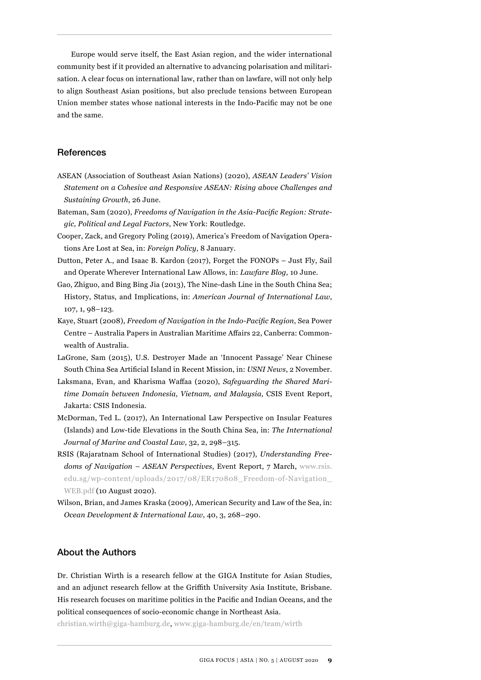Europe would serve itself, the East Asian region, and the wider international community best if it provided an alternative to advancing polarisation and militarisation. A clear focus on international law, rather than on lawfare, will not only help to align Southeast Asian positions, but also preclude tensions between European Union member states whose national interests in the Indo-Pacific may not be one and the same.

#### References

- ASEAN (Association of Southeast Asian Nations) (2020), *ASEAN Leaders' Vision Statement on a Cohesive and Responsive ASEAN: Rising above Challenges and Sustaining Growth*, 26 June.
- Bateman, Sam (2020), *Freedoms of Navigation in the Asia-Pacific Region: Strategic, Political and Legal Factors*, New York: Routledge.
- Cooper, Zack, and Gregory Poling (2019), America's Freedom of Navigation Operations Are Lost at Sea, in: *Foreign Policy*, 8 January.
- Dutton, Peter A., and Isaac B. Kardon (2017), Forget the FONOPs Just Fly, Sail and Operate Wherever International Law Allows, in: *Lawfare Blog,* 10 June.
- Gao, Zhiguo, and Bing Bing Jia (2013), The Nine-dash Line in the South China Sea; History, Status, and Implications, in: *American Journal of International Law*, 107, 1, 98–123.
- Kaye, Stuart (2008), *Freedom of Navigation in the Indo-Pacific Region*, Sea Power Centre – Australia Papers in Australian Maritime Affairs 22, Canberra: Commonwealth of Australia.
- LaGrone, Sam (2015), U.S. Destroyer Made an 'Innocent Passage' Near Chinese South China Sea Artificial Island in Recent Mission, in: *USNI News*, 2 November.
- Laksmana, Evan, and Kharisma Waffaa (2020), *Safeguarding the Shared Maritime Domain between Indonesia, Vietnam, and Malaysia*, CSIS Event Report, Jakarta: CSIS Indonesia.
- McDorman, Ted L. (2017), An International Law Perspective on Insular Features (Islands) and Low-tide Elevations in the South China Sea, in: *The International Journal of Marine and Coastal Law*, 32, 2, 298–315.
- RSIS (Rajaratnam School of International Studies) (2017), *Understanding Freedoms of Navigation – ASEAN Perspectives*, Event Report, 7 March, [www.rsis.](http://www.rsis.edu.sg/wp-content/uploads/2017/08/ER170808_Freedom-of-Navigation_WEB.pdf) [edu.sg/wp-content/uploads/2017/08/ER170808\\_Freedom-of-Navigation\\_](http://www.rsis.edu.sg/wp-content/uploads/2017/08/ER170808_Freedom-of-Navigation_WEB.pdf) [WEB.pdf](http://www.rsis.edu.sg/wp-content/uploads/2017/08/ER170808_Freedom-of-Navigation_WEB.pdf) (10 August 2020).
- Wilson, Brian, and James Kraska (2009), American Security and Law of the Sea, in: *Ocean Development & International Law*, 40, 3, 268–290.

#### About the Authors

Dr. Christian Wirth is a research fellow at the GIGA Institute for Asian Studies, and an adjunct research fellow at the Griffith University Asia Institute, Brisbane. His research focuses on maritime politics in the Pacific and Indian Oceans, and the political consequences of socio-economic change in Northeast Asia.

christian.wirth@giga-hamburg.de, [www.giga-hamburg.de/en/team/wirth](http://www.giga-hamburg.de/en/team/wirth )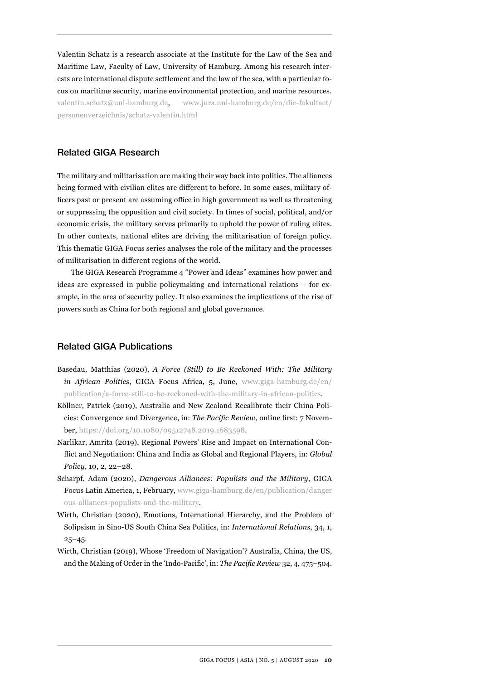Valentin Schatz is a research associate at the Institute for the Law of the Sea and Maritime Law, Faculty of Law, University of Hamburg. Among his research interests are international dispute settlement and the law of the sea, with a particular focus on maritime security, marine environmental protection, and marine resources. [valentin.schatz@uni-hamburg.de](mailto:valentin.schatz@uni-hamburg.de), [www.jura.uni-hamburg.de/en/die-fakultaet/](http://www.jura.uni-hamburg.de/en/die-fakultaet/personenverzeichnis/schatz-valentin.html ) [personenverzeichnis/schatz-valentin.html](http://www.jura.uni-hamburg.de/en/die-fakultaet/personenverzeichnis/schatz-valentin.html )

#### Related GIGA Research

The military and militarisation are making their way back into politics. The alliances being formed with civilian elites are different to before. In some cases, military officers past or present are assuming office in high government as well as threatening or suppressing the opposition and civil society. In times of social, political, and/or economic crisis, the military serves primarily to uphold the power of ruling elites. In other contexts, national elites are driving the militarisation of foreign policy. This thematic GIGA Focus series analyses the role of the military and the processes of militarisation in different regions of the world.

The GIGA Research Programme 4 "Power and Ideas" examines how power and ideas are expressed in public policymaking and international relations – for example, in the area of security policy. It also examines the implications of the rise of powers such as China for both regional and global governance.

#### Related GIGA Publications

- Basedau, Matthias (2020), *A Force (Still) to Be Reckoned With: The Military in African Politics*, GIGA Focus Africa, 5, June, [www.giga-hamburg.de/en/](http://www.giga-hamburg.de/en/publication/a-force-still-to-be-reckoned-with-the-military-in-african-politics) [publication/a-force-still-to-be-reckoned-with-the-military-in-african-politics](http://www.giga-hamburg.de/en/publication/a-force-still-to-be-reckoned-with-the-military-in-african-politics).
- Köllner, Patrick (2019), Australia and New Zealand Recalibrate their China Policies: Convergence and Divergence, in: *The Pacific Review*, online first: 7 November, <https://doi.org/10.1080/09512748.2019.1683598>.
- Narlikar, Amrita (2019), [Regional Powers' Rise and Impact on International Con](https://www.giga-hamburg.de/en/publication/regional-powers%E2%80%99-rise-and-impact-on-international-conflict-and-negotiation-china-and)[flict and Negotiation: China and India as Global and Regional Players, in:](https://www.giga-hamburg.de/en/publication/regional-powers%E2%80%99-rise-and-impact-on-international-conflict-and-negotiation-china-and) *Global Policy*, 10, 2, 22–28.
- Scharpf, Adam (2020), *Dangerous Alliances: Populists and the Military*, GIGA Focus Latin America, 1, February, [www.giga-hamburg.de/en/publication/danger](http://www.giga-hamburg.de/en/publication/dangerous-alliances-populists-and-the-military)  [ous-alliances-populists-and-the-military](http://www.giga-hamburg.de/en/publication/dangerous-alliances-populists-and-the-military).
- Wirth, Christian (2020), Emotions, International Hierarchy, and the Problem of Solipsism in Sino-US South China Sea Politics, in: *International Relations*, 34, 1,  $25 - 45.$
- Wirth, Christian (2019), Whose 'Freedom of Navigation'? Australia, China, the US, and the Making of Order in the 'Indo-Pacific', in: *The Pacific Review* 32, 4, 475–504.